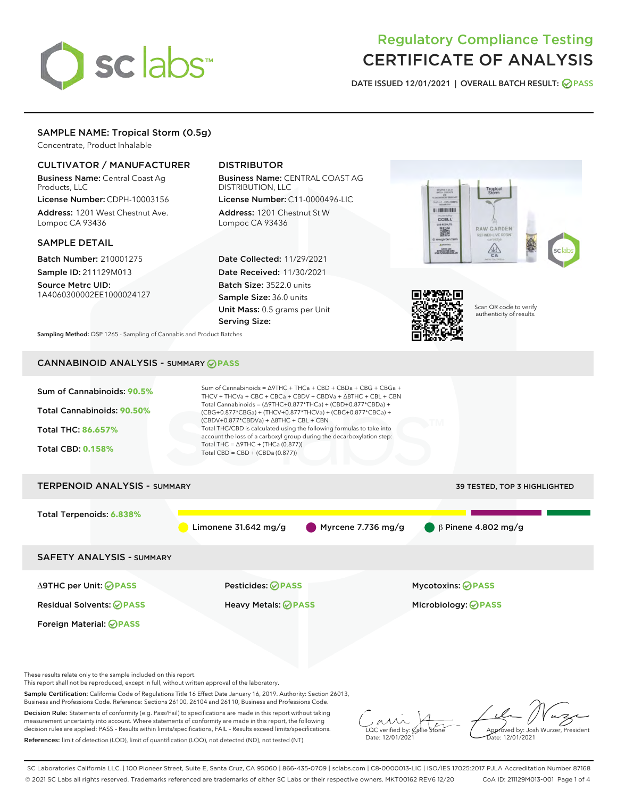# sclabs

# Regulatory Compliance Testing CERTIFICATE OF ANALYSIS

DATE ISSUED 12/01/2021 | OVERALL BATCH RESULT: @ PASS

# SAMPLE NAME: Tropical Storm (0.5g)

Concentrate, Product Inhalable

# CULTIVATOR / MANUFACTURER

Business Name: Central Coast Ag Products, LLC

License Number: CDPH-10003156 Address: 1201 West Chestnut Ave. Lompoc CA 93436

## SAMPLE DETAIL

Batch Number: 210001275 Sample ID: 211129M013

Source Metrc UID: 1A4060300002EE1000024127

# DISTRIBUTOR

Business Name: CENTRAL COAST AG DISTRIBUTION, LLC

License Number: C11-0000496-LIC Address: 1201 Chestnut St W Lompoc CA 93436

Date Collected: 11/29/2021 Date Received: 11/30/2021 Batch Size: 3522.0 units Sample Size: 36.0 units Unit Mass: 0.5 grams per Unit Serving Size:





Scan QR code to verify authenticity of results.

Sampling Method: QSP 1265 - Sampling of Cannabis and Product Batches

# CANNABINOID ANALYSIS - SUMMARY **PASS**



This report shall not be reproduced, except in full, without written approval of the laboratory.

Sample Certification: California Code of Regulations Title 16 Effect Date January 16, 2019. Authority: Section 26013, Business and Professions Code. Reference: Sections 26100, 26104 and 26110, Business and Professions Code.

Decision Rule: Statements of conformity (e.g. Pass/Fail) to specifications are made in this report without taking measurement uncertainty into account. Where statements of conformity are made in this report, the following decision rules are applied: PASS – Results within limits/specifications, FAIL – Results exceed limits/specifications. References: limit of detection (LOD), limit of quantification (LOQ), not detected (ND), not tested (NT)

 $\overline{\text{C}}$  verified by:  $\mathcal C$ Date: 12/01/2021

**A**<br>Approved by: Josh Wurzer, President ate: 12/01/2021

SC Laboratories California LLC. | 100 Pioneer Street, Suite E, Santa Cruz, CA 95060 | 866-435-0709 | sclabs.com | C8-0000013-LIC | ISO/IES 17025:2017 PJLA Accreditation Number 87168 © 2021 SC Labs all rights reserved. Trademarks referenced are trademarks of either SC Labs or their respective owners. MKT00162 REV6 12/20 CoA ID: 211129M013-001 Page 1 of 4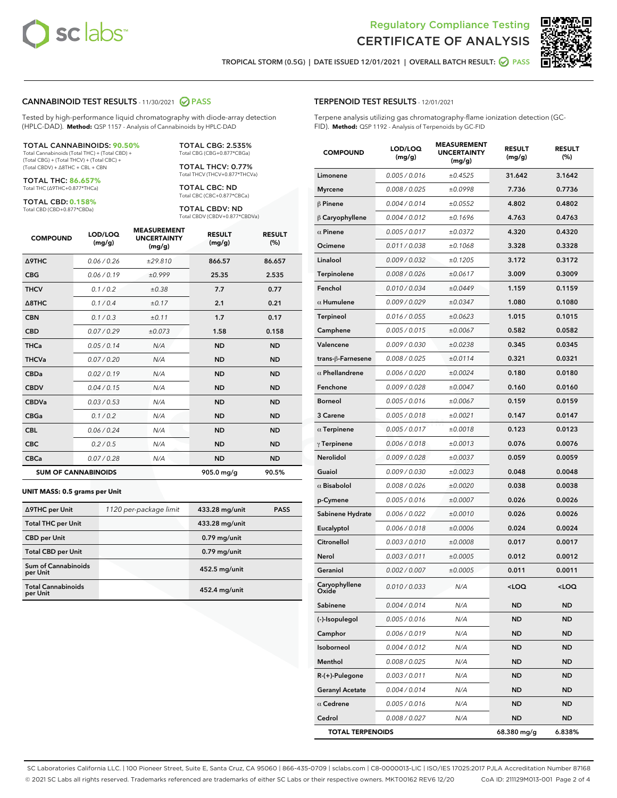



TROPICAL STORM (0.5G) | DATE ISSUED 12/01/2021 | OVERALL BATCH RESULT: **⊘** PASS

#### CANNABINOID TEST RESULTS - 11/30/2021 2 PASS

Tested by high-performance liquid chromatography with diode-array detection (HPLC-DAD). **Method:** QSP 1157 - Analysis of Cannabinoids by HPLC-DAD

#### TOTAL CANNABINOIDS: **90.50%**

Total Cannabinoids (Total THC) + (Total CBD) + (Total CBG) + (Total THCV) + (Total CBC) + (Total CBDV) + ∆8THC + CBL + CBN

TOTAL THC: **86.657%** Total THC (∆9THC+0.877\*THCa)

TOTAL CBD: **0.158%**

Total CBD (CBD+0.877\*CBDa)

TOTAL CBG: 2.535% Total CBG (CBG+0.877\*CBGa)

TOTAL THCV: 0.77% Total THCV (THCV+0.877\*THCVa)

TOTAL CBC: ND Total CBC (CBC+0.877\*CBCa)

TOTAL CBDV: ND Total CBDV (CBDV+0.877\*CBDVa)

| <b>COMPOUND</b>            | LOD/LOQ<br>(mg/g) | <b>MEASUREMENT</b><br><b>UNCERTAINTY</b><br>(mg/g) | <b>RESULT</b><br>(mg/g) | <b>RESULT</b><br>(%) |
|----------------------------|-------------------|----------------------------------------------------|-------------------------|----------------------|
| <b>A9THC</b>               | 0.06/0.26         | ±29.810                                            | 866.57                  | 86.657               |
| <b>CBG</b>                 | 0.06/0.19         | ±0.999                                             | 25.35                   | 2.535                |
| <b>THCV</b>                | 0.1/0.2           | ±0.38                                              | 7.7                     | 0.77                 |
| $\triangle$ 8THC           | 0.1/0.4           | ±0.17                                              | 2.1                     | 0.21                 |
| <b>CBN</b>                 | 0.1/0.3           | ±0.11                                              | 1.7                     | 0.17                 |
| <b>CBD</b>                 | 0.07/0.29         | ±0.073                                             | 1.58                    | 0.158                |
| <b>THCa</b>                | 0.05/0.14         | N/A                                                | <b>ND</b>               | <b>ND</b>            |
| <b>THCVa</b>               | 0.07/0.20         | N/A                                                | <b>ND</b>               | <b>ND</b>            |
| <b>CBDa</b>                | 0.02/0.19         | N/A                                                | <b>ND</b>               | <b>ND</b>            |
| <b>CBDV</b>                | 0.04 / 0.15       | N/A                                                | <b>ND</b>               | <b>ND</b>            |
| <b>CBDVa</b>               | 0.03/0.53         | N/A                                                | <b>ND</b>               | <b>ND</b>            |
| <b>CBGa</b>                | 0.1/0.2           | N/A                                                | <b>ND</b>               | <b>ND</b>            |
| <b>CBL</b>                 | 0.06 / 0.24       | N/A                                                | <b>ND</b>               | <b>ND</b>            |
| <b>CBC</b>                 | 0.2 / 0.5         | N/A                                                | <b>ND</b>               | <b>ND</b>            |
| <b>CBCa</b>                | 0.07/0.28         | N/A                                                | <b>ND</b>               | <b>ND</b>            |
| <b>SUM OF CANNABINOIDS</b> |                   |                                                    | 905.0 mg/g              | 90.5%                |

#### **UNIT MASS: 0.5 grams per Unit**

| ∆9THC per Unit                         | 1120 per-package limit | 433.28 mg/unit | <b>PASS</b> |
|----------------------------------------|------------------------|----------------|-------------|
| <b>Total THC per Unit</b>              |                        | 433.28 mg/unit |             |
| <b>CBD</b> per Unit                    |                        | $0.79$ mg/unit |             |
| <b>Total CBD per Unit</b>              |                        | $0.79$ mg/unit |             |
| <b>Sum of Cannabinoids</b><br>per Unit |                        | 452.5 mg/unit  |             |
| <b>Total Cannabinoids</b><br>per Unit  |                        | 452.4 mg/unit  |             |

| <b>COMPOUND</b>         | LOD/LOQ<br>(mg/g) | 9396611<br><b>UNCERTAINTY</b><br>(mg/g) | <b>RESULT</b><br>(mg/g)                         | <b>RESULT</b><br>$(\%)$ |
|-------------------------|-------------------|-----------------------------------------|-------------------------------------------------|-------------------------|
| Limonene                | 0.005 / 0.016     | ±0.4525                                 | 31.642                                          | 3.1642                  |
| <b>Myrcene</b>          | 0.008 / 0.025     | ±0.0998                                 | 7.736                                           | 0.7736                  |
| $\beta$ Pinene          | 0.004 / 0.014     | ±0.0552                                 | 4.802                                           | 0.4802                  |
| $\beta$ Caryophyllene   | 0.004 / 0.012     | ±0.1696                                 | 4.763                                           | 0.4763                  |
| $\alpha$ Pinene         | 0.005 / 0.017     | ±0.0372                                 | 4.320                                           | 0.4320                  |
| Ocimene                 | 0.011 / 0.038     | ±0.1068                                 | 3.328                                           | 0.3328                  |
| Linalool                | 0.009 / 0.032     | ±0.1205                                 | 3.172                                           | 0.3172                  |
| Terpinolene             | 0.008 / 0.026     | ±0.0617                                 | 3.009                                           | 0.3009                  |
| Fenchol                 | 0.010 / 0.034     | ±0.0449                                 | 1.159                                           | 0.1159                  |
| $\alpha$ Humulene       | 0.009 / 0.029     | ±0.0347                                 | 1.080                                           | 0.1080                  |
| <b>Terpineol</b>        | 0.016 / 0.055     | ±0.0623                                 | 1.015                                           | 0.1015                  |
| Camphene                | 0.005 / 0.015     | ±0.0067                                 | 0.582                                           | 0.0582                  |
| Valencene               | 0.009 / 0.030     | ±0.0238                                 | 0.345                                           | 0.0345                  |
| trans-β-Farnesene       | 0.008 / 0.025     | ±0.0114                                 | 0.321                                           | 0.0321                  |
| $\alpha$ Phellandrene   | 0.006 / 0.020     | ±0.0024                                 | 0.180                                           | 0.0180                  |
| Fenchone                | 0.009 / 0.028     | ±0.0047                                 | 0.160                                           | 0.0160                  |
| <b>Borneol</b>          | 0.005 / 0.016     | ±0.0067                                 | 0.159                                           | 0.0159                  |
| 3 Carene                | 0.005 / 0.018     | ±0.0021                                 | 0.147                                           | 0.0147                  |
| $\alpha$ Terpinene      | 0.005 / 0.017     | ±0.0018                                 | 0.123                                           | 0.0123                  |
| $\gamma$ Terpinene      | 0.006 / 0.018     | ±0.0013                                 | 0.076                                           | 0.0076                  |
| Nerolidol               | 0.009 / 0.028     | ±0.0037                                 | 0.059                                           | 0.0059                  |
| Guaiol                  | 0.009 / 0.030     | ±0.0023                                 | 0.048                                           | 0.0048                  |
| $\alpha$ Bisabolol      | 0.008 / 0.026     | ±0.0020                                 | 0.038                                           | 0.0038                  |
| p-Cymene                | 0.005 / 0.016     | ±0.0007                                 | 0.026                                           | 0.0026                  |
| Sabinene Hydrate        | 0.006 / 0.022     | ±0.0010                                 | 0.026                                           | 0.0026                  |
| Eucalyptol              | 0.006 / 0.018     | ±0.0006                                 | 0.024                                           | 0.0024                  |
| Citronellol             | 0.003 / 0.010     | ±0.0008                                 | 0.017                                           | 0.0017                  |
| Nerol                   | 0.003 / 0.011     | ±0.0005                                 | 0.012                                           | 0.0012                  |
| Geraniol                | 0.002 / 0.007     | ±0.0005                                 | 0.011                                           | 0.0011                  |
| Caryophyllene<br>Oxide  | 0.010 / 0.033     | N/A                                     | <loq< th=""><th><loq< th=""></loq<></th></loq<> | <loq< th=""></loq<>     |
| Sabinene                | 0.004 / 0.014     | N/A                                     | ND                                              | <b>ND</b>               |
| (-)-Isopulegol          | 0.005 / 0.016     | N/A                                     | ND                                              | ND                      |
| Camphor                 | 0.006 / 0.019     | N/A                                     | ND                                              | ND                      |
| Isoborneol              | 0.004 / 0.012     | N/A                                     | ND                                              | ND                      |
| Menthol                 | 0.008 / 0.025     | N/A                                     | ND                                              | ND                      |
| R-(+)-Pulegone          | 0.003 / 0.011     | N/A                                     | ND                                              | ND                      |
| <b>Geranyl Acetate</b>  | 0.004 / 0.014     | N/A                                     | ND                                              | ND                      |
| $\alpha$ Cedrene        | 0.005 / 0.016     | N/A                                     | ND                                              | ND                      |
| Cedrol                  | 0.008 / 0.027     | N/A                                     | ND                                              | <b>ND</b>               |
| <b>TOTAL TERPENOIDS</b> |                   |                                         | 68.380 mg/g                                     | 6.838%                  |

SC Laboratories California LLC. | 100 Pioneer Street, Suite E, Santa Cruz, CA 95060 | 866-435-0709 | sclabs.com | C8-0000013-LIC | ISO/IES 17025:2017 PJLA Accreditation Number 87168 © 2021 SC Labs all rights reserved. Trademarks referenced are trademarks of either SC Labs or their respective owners. MKT00162 REV6 12/20 CoA ID: 211129M013-001 Page 2 of 4

# TERPENOID TEST RESULTS - 12/01/2021

Terpene analysis utilizing gas chromatography-flame ionization detection (GC-FID). **Method:** QSP 1192 - Analysis of Terpenoids by GC-FID

MEACUREMENT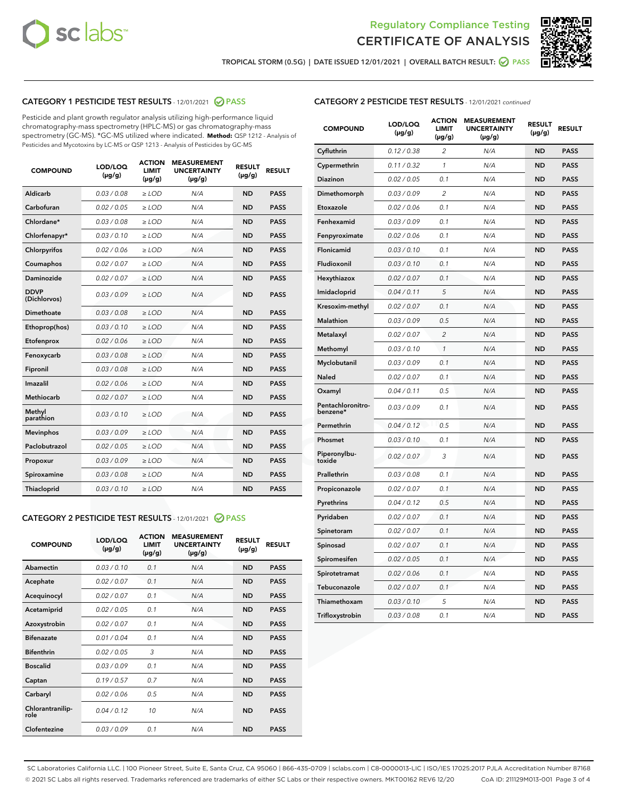



TROPICAL STORM (0.5G) | DATE ISSUED 12/01/2021 | OVERALL BATCH RESULT: ☑ PASS

# CATEGORY 1 PESTICIDE TEST RESULTS - 12/01/2021 2 PASS

Pesticide and plant growth regulator analysis utilizing high-performance liquid chromatography-mass spectrometry (HPLC-MS) or gas chromatography-mass spectrometry (GC-MS). \*GC-MS utilized where indicated. **Method:** QSP 1212 - Analysis of Pesticides and Mycotoxins by LC-MS or QSP 1213 - Analysis of Pesticides by GC-MS

| <b>COMPOUND</b>             | LOD/LOQ<br>$(\mu g/g)$ | <b>ACTION</b><br><b>LIMIT</b><br>$(\mu g/g)$ | <b>MEASUREMENT</b><br><b>UNCERTAINTY</b><br>$(\mu g/g)$ | <b>RESULT</b><br>$(\mu g/g)$ | <b>RESULT</b> |
|-----------------------------|------------------------|----------------------------------------------|---------------------------------------------------------|------------------------------|---------------|
| Aldicarb                    | 0.03/0.08              | $\ge$ LOD                                    | N/A                                                     | <b>ND</b>                    | <b>PASS</b>   |
| Carbofuran                  | 0.02 / 0.05            | $\geq$ LOD                                   | N/A                                                     | <b>ND</b>                    | <b>PASS</b>   |
| Chlordane*                  | 0.03 / 0.08            | $\ge$ LOD                                    | N/A                                                     | <b>ND</b>                    | <b>PASS</b>   |
| Chlorfenapyr*               | 0.03/0.10              | $\geq$ LOD                                   | N/A                                                     | <b>ND</b>                    | <b>PASS</b>   |
| Chlorpyrifos                | 0.02 / 0.06            | $\geq$ LOD                                   | N/A                                                     | <b>ND</b>                    | <b>PASS</b>   |
| Coumaphos                   | 0.02 / 0.07            | $\ge$ LOD                                    | N/A                                                     | <b>ND</b>                    | <b>PASS</b>   |
| Daminozide                  | 0.02 / 0.07            | $\ge$ LOD                                    | N/A                                                     | <b>ND</b>                    | <b>PASS</b>   |
| <b>DDVP</b><br>(Dichlorvos) | 0.03/0.09              | $>$ LOD                                      | N/A                                                     | <b>ND</b>                    | <b>PASS</b>   |
| Dimethoate                  | 0.03 / 0.08            | $\ge$ LOD                                    | N/A                                                     | <b>ND</b>                    | <b>PASS</b>   |
| Ethoprop(hos)               | 0.03/0.10              | $\ge$ LOD                                    | N/A                                                     | <b>ND</b>                    | <b>PASS</b>   |
| Etofenprox                  | 0.02/0.06              | $>$ LOD                                      | N/A                                                     | <b>ND</b>                    | <b>PASS</b>   |
| Fenoxycarb                  | 0.03 / 0.08            | $\ge$ LOD                                    | N/A                                                     | <b>ND</b>                    | <b>PASS</b>   |
| Fipronil                    | 0.03/0.08              | $>$ LOD                                      | N/A                                                     | <b>ND</b>                    | <b>PASS</b>   |
| Imazalil                    | 0.02 / 0.06            | $\ge$ LOD                                    | N/A                                                     | <b>ND</b>                    | <b>PASS</b>   |
| Methiocarb                  | 0.02 / 0.07            | $\ge$ LOD                                    | N/A                                                     | <b>ND</b>                    | <b>PASS</b>   |
| Methyl<br>parathion         | 0.03/0.10              | $>$ LOD                                      | N/A                                                     | <b>ND</b>                    | <b>PASS</b>   |
| <b>Mevinphos</b>            | 0.03/0.09              | $>$ LOD                                      | N/A                                                     | <b>ND</b>                    | <b>PASS</b>   |
| Paclobutrazol               | 0.02 / 0.05            | $\ge$ LOD                                    | N/A                                                     | <b>ND</b>                    | <b>PASS</b>   |
| Propoxur                    | 0.03/0.09              | $\ge$ LOD                                    | N/A                                                     | <b>ND</b>                    | <b>PASS</b>   |
| Spiroxamine                 | 0.03 / 0.08            | $\ge$ LOD                                    | N/A                                                     | <b>ND</b>                    | <b>PASS</b>   |
| Thiacloprid                 | 0.03/0.10              | $\ge$ LOD                                    | N/A                                                     | <b>ND</b>                    | <b>PASS</b>   |

#### CATEGORY 2 PESTICIDE TEST RESULTS - 12/01/2021 @ PASS

| <b>COMPOUND</b>          | LOD/LOO<br>$(\mu g/g)$ | <b>ACTION</b><br>LIMIT<br>$(\mu g/g)$ | <b>MEASUREMENT</b><br><b>UNCERTAINTY</b><br>$(\mu g/g)$ | <b>RESULT</b><br>$(\mu g/g)$ | <b>RESULT</b> |
|--------------------------|------------------------|---------------------------------------|---------------------------------------------------------|------------------------------|---------------|
| Abamectin                | 0.03/0.10              | 0.1                                   | N/A                                                     | <b>ND</b>                    | <b>PASS</b>   |
| Acephate                 | 0.02/0.07              | 0.1                                   | N/A                                                     | <b>ND</b>                    | <b>PASS</b>   |
| Acequinocyl              | 0.02/0.07              | 0.1                                   | N/A                                                     | <b>ND</b>                    | <b>PASS</b>   |
| Acetamiprid              | 0.02/0.05              | 0.1                                   | N/A                                                     | <b>ND</b>                    | <b>PASS</b>   |
| Azoxystrobin             | 0.02/0.07              | 0.1                                   | N/A                                                     | <b>ND</b>                    | <b>PASS</b>   |
| <b>Bifenazate</b>        | 0.01/0.04              | 0.1                                   | N/A                                                     | <b>ND</b>                    | <b>PASS</b>   |
| <b>Bifenthrin</b>        | 0.02 / 0.05            | 3                                     | N/A                                                     | <b>ND</b>                    | <b>PASS</b>   |
| <b>Boscalid</b>          | 0.03/0.09              | 0.1                                   | N/A                                                     | <b>ND</b>                    | <b>PASS</b>   |
| Captan                   | 0.19/0.57              | 0.7                                   | N/A                                                     | <b>ND</b>                    | <b>PASS</b>   |
| Carbaryl                 | 0.02/0.06              | 0.5                                   | N/A                                                     | <b>ND</b>                    | <b>PASS</b>   |
| Chlorantranilip-<br>role | 0.04/0.12              | 10                                    | N/A                                                     | <b>ND</b>                    | <b>PASS</b>   |
| Clofentezine             | 0.03/0.09              | 0.1                                   | N/A                                                     | <b>ND</b>                    | <b>PASS</b>   |

# CATEGORY 2 PESTICIDE TEST RESULTS - 12/01/2021 continued

| <b>COMPOUND</b>               | LOD/LOQ<br>$(\mu g/g)$ | <b>ACTION</b><br>LIMIT<br>(µg/g) | <b>MEASUREMENT</b><br><b>UNCERTAINTY</b><br>$(\mu g/g)$ | <b>RESULT</b><br>(µg/g) | <b>RESULT</b> |
|-------------------------------|------------------------|----------------------------------|---------------------------------------------------------|-------------------------|---------------|
| Cyfluthrin                    | 0.12 / 0.38            | $\overline{2}$                   | N/A                                                     | <b>ND</b>               | <b>PASS</b>   |
| Cypermethrin                  | 0.11 / 0.32            | 1                                | N/A                                                     | ND                      | <b>PASS</b>   |
| Diazinon                      | 0.02 / 0.05            | 0.1                              | N/A                                                     | <b>ND</b>               | <b>PASS</b>   |
| Dimethomorph                  | 0.03 / 0.09            | $\overline{\mathcal{L}}$         | N/A                                                     | ND                      | <b>PASS</b>   |
| Etoxazole                     | 0.02 / 0.06            | 0.1                              | N/A                                                     | <b>ND</b>               | <b>PASS</b>   |
| Fenhexamid                    | 0.03 / 0.09            | 0.1                              | N/A                                                     | <b>ND</b>               | <b>PASS</b>   |
| Fenpyroximate                 | 0.02 / 0.06            | 0.1                              | N/A                                                     | <b>ND</b>               | <b>PASS</b>   |
| Flonicamid                    | 0.03 / 0.10            | 0.1                              | N/A                                                     | <b>ND</b>               | <b>PASS</b>   |
| Fludioxonil                   | 0.03 / 0.10            | 0.1                              | N/A                                                     | <b>ND</b>               | <b>PASS</b>   |
| Hexythiazox                   | 0.02 / 0.07            | 0.1                              | N/A                                                     | <b>ND</b>               | <b>PASS</b>   |
| Imidacloprid                  | 0.04 / 0.11            | 5                                | N/A                                                     | <b>ND</b>               | <b>PASS</b>   |
| Kresoxim-methyl               | 0.02 / 0.07            | 0.1                              | N/A                                                     | <b>ND</b>               | <b>PASS</b>   |
| Malathion                     | 0.03 / 0.09            | 0.5                              | N/A                                                     | ND                      | <b>PASS</b>   |
| Metalaxyl                     | 0.02 / 0.07            | $\overline{c}$                   | N/A                                                     | ND                      | <b>PASS</b>   |
| Methomyl                      | 0.03 / 0.10            | $\mathbf{1}$                     | N/A                                                     | <b>ND</b>               | <b>PASS</b>   |
| Myclobutanil                  | 0.03 / 0.09            | 0.1                              | N/A                                                     | <b>ND</b>               | <b>PASS</b>   |
| Naled                         | 0.02 / 0.07            | 0.1                              | N/A                                                     | ND                      | <b>PASS</b>   |
| Oxamyl                        | 0.04 / 0.11            | 0.5                              | N/A                                                     | ND                      | <b>PASS</b>   |
| Pentachloronitro-<br>benzene* | 0.03 / 0.09            | 0.1                              | N/A                                                     | ND                      | <b>PASS</b>   |
| Permethrin                    | 0.04 / 0.12            | 0.5                              | N/A                                                     | <b>ND</b>               | <b>PASS</b>   |
| Phosmet                       | 0.03 / 0.10            | 0.1                              | N/A                                                     | ND                      | <b>PASS</b>   |
| Piperonylbu-<br>toxide        | 0.02 / 0.07            | 3                                | N/A                                                     | ND                      | <b>PASS</b>   |
| Prallethrin                   | 0.03 / 0.08            | 0.1                              | N/A                                                     | <b>ND</b>               | <b>PASS</b>   |
| Propiconazole                 | 0.02 / 0.07            | 0.1                              | N/A                                                     | <b>ND</b>               | <b>PASS</b>   |
| Pyrethrins                    | 0.04 / 0.12            | 0.5                              | N/A                                                     | ND                      | <b>PASS</b>   |
| Pyridaben                     | 0.02 / 0.07            | 0.1                              | N/A                                                     | ND                      | <b>PASS</b>   |
| Spinetoram                    | 0.02 / 0.07            | 0.1                              | N/A                                                     | ND                      | <b>PASS</b>   |
| Spinosad                      | 0.02 / 0.07            | 0.1                              | N/A                                                     | <b>ND</b>               | <b>PASS</b>   |
| Spiromesifen                  | 0.02 / 0.05            | 0.1                              | N/A                                                     | ND                      | <b>PASS</b>   |
| Spirotetramat                 | 0.02 / 0.06            | 0.1                              | N/A                                                     | <b>ND</b>               | <b>PASS</b>   |
| Tebuconazole                  | 0.02 / 0.07            | 0.1                              | N/A                                                     | ND                      | <b>PASS</b>   |
| Thiamethoxam                  | 0.03 / 0.10            | 5                                | N/A                                                     | <b>ND</b>               | <b>PASS</b>   |
| Trifloxystrobin               | 0.03 / 0.08            | 0.1                              | N/A                                                     | <b>ND</b>               | <b>PASS</b>   |

SC Laboratories California LLC. | 100 Pioneer Street, Suite E, Santa Cruz, CA 95060 | 866-435-0709 | sclabs.com | C8-0000013-LIC | ISO/IES 17025:2017 PJLA Accreditation Number 87168 © 2021 SC Labs all rights reserved. Trademarks referenced are trademarks of either SC Labs or their respective owners. MKT00162 REV6 12/20 CoA ID: 211129M013-001 Page 3 of 4